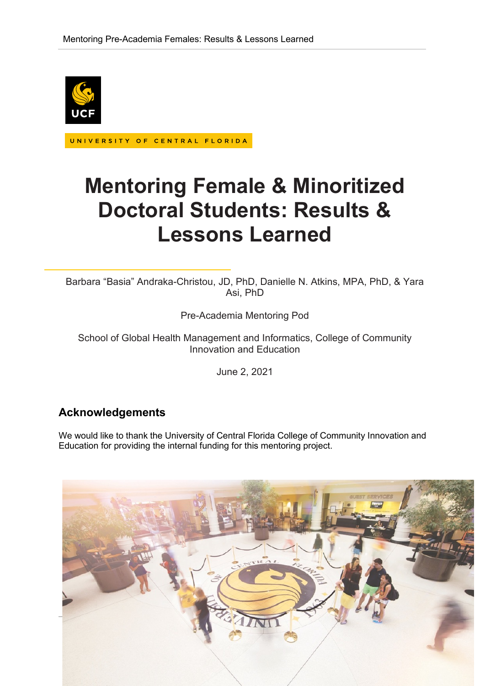

UNIVERSITY OF CENTRAL FLORIDA

# **Mentoring Female & Minoritized Doctoral Students: Results & Lessons Learned**

Barbara "Basia" Andraka-Christou, JD, PhD, Danielle N. Atkins, MPA, PhD, & Yara Asi, PhD

Pre-Academia Mentoring Pod

School of Global Health Management and Informatics, College of Community Innovation and Education

June 2, 2021

### <span id="page-0-0"></span>**Acknowledgements**

We would like to thank the University of Central Florida College of Community Innovation and Education for providing the internal funding for this mentoring project.

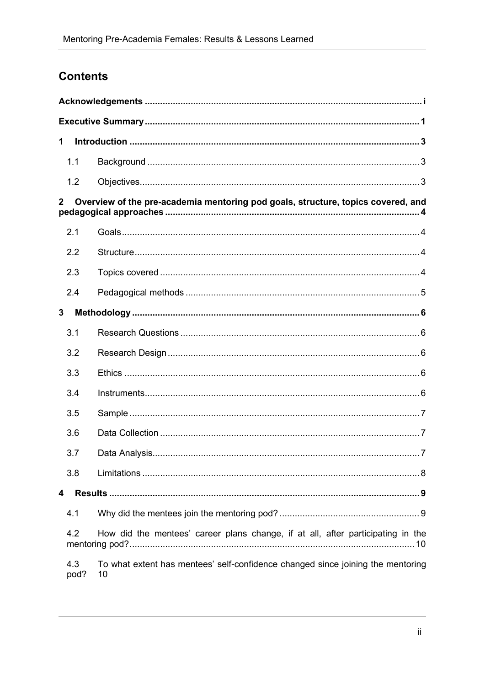# **Contents**

| 1                                                                                      |             |                                                                                       |  |  |  |  |  |  |  |
|----------------------------------------------------------------------------------------|-------------|---------------------------------------------------------------------------------------|--|--|--|--|--|--|--|
|                                                                                        | 1.1         |                                                                                       |  |  |  |  |  |  |  |
|                                                                                        | 1.2         |                                                                                       |  |  |  |  |  |  |  |
| $\mathbf{2}$                                                                           |             | Overview of the pre-academia mentoring pod goals, structure, topics covered, and      |  |  |  |  |  |  |  |
|                                                                                        | 2.1         |                                                                                       |  |  |  |  |  |  |  |
|                                                                                        | 2.2         |                                                                                       |  |  |  |  |  |  |  |
|                                                                                        | 2.3         |                                                                                       |  |  |  |  |  |  |  |
|                                                                                        | 2.4         |                                                                                       |  |  |  |  |  |  |  |
| 3                                                                                      |             |                                                                                       |  |  |  |  |  |  |  |
|                                                                                        | 3.1         |                                                                                       |  |  |  |  |  |  |  |
|                                                                                        | 3.2         |                                                                                       |  |  |  |  |  |  |  |
|                                                                                        | 3.3         |                                                                                       |  |  |  |  |  |  |  |
|                                                                                        | 3.4         |                                                                                       |  |  |  |  |  |  |  |
|                                                                                        | 3.5         |                                                                                       |  |  |  |  |  |  |  |
|                                                                                        | 3.6         |                                                                                       |  |  |  |  |  |  |  |
|                                                                                        | 3.7         |                                                                                       |  |  |  |  |  |  |  |
|                                                                                        | 3.8         |                                                                                       |  |  |  |  |  |  |  |
| 4                                                                                      |             |                                                                                       |  |  |  |  |  |  |  |
|                                                                                        | 4.1         |                                                                                       |  |  |  |  |  |  |  |
| 4.2<br>How did the mentees' career plans change, if at all, after participating in the |             |                                                                                       |  |  |  |  |  |  |  |
|                                                                                        | 4.3<br>pod? | To what extent has mentees' self-confidence changed since joining the mentoring<br>10 |  |  |  |  |  |  |  |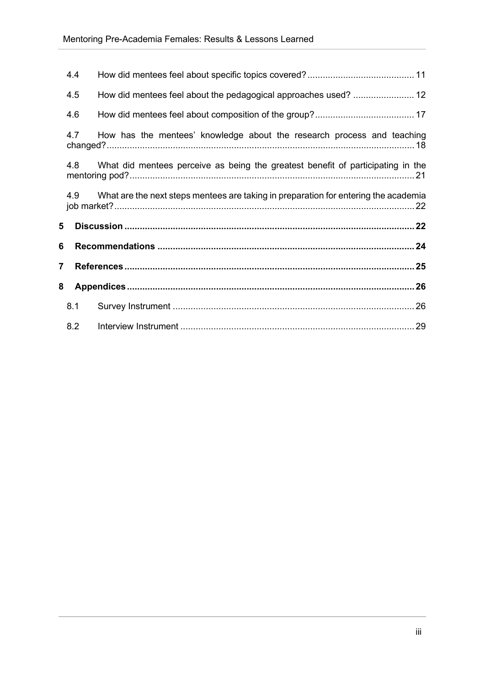|   | 4.4 |                                                                                     |  |
|---|-----|-------------------------------------------------------------------------------------|--|
|   | 4.5 |                                                                                     |  |
|   | 4.6 |                                                                                     |  |
|   | 4.7 | How has the mentees' knowledge about the research process and teaching              |  |
|   | 4.8 | What did mentees perceive as being the greatest benefit of participating in the     |  |
|   | 4.9 | What are the next steps mentees are taking in preparation for entering the academia |  |
| 5 |     |                                                                                     |  |
| 6 |     |                                                                                     |  |
| 7 |     |                                                                                     |  |
| 8 |     |                                                                                     |  |
|   | 8.1 |                                                                                     |  |
|   | 8.2 |                                                                                     |  |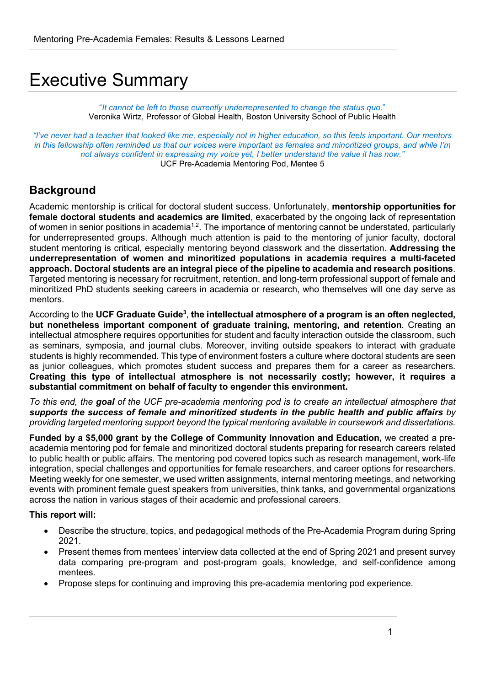# <span id="page-3-0"></span>Executive Summary

"*It cannot be left to those currently underrepresented to change the status quo*." Veronika Wirtz, Professor of Global Health, Boston University School of Public Health

*"I've never had a teacher that looked like me, especially not in higher education, so this feels important. Our mentors in this fellowship often reminded us that our voices were important as females and minoritized groups, and while I'm not always confident in expressing my voice yet, I better understand the value it has now."* UCF Pre-Academia Mentoring Pod, Mentee 5

## **Background**

Academic mentorship is critical for doctoral student success. Unfortunately, **mentorship opportunities for female doctoral students and academics are limited**, exacerbated by the ongoing lack of representation of women in senior positions in academia<sup>1,2</sup>. The importance of mentoring cannot be understated, particularly for underrepresented groups. Although much attention is paid to the mentoring of junior faculty, doctoral student mentoring is critical, especially mentoring beyond classwork and the dissertation. **Addressing the underrepresentation of women and minoritized populations in academia requires a multi-faceted approach. Doctoral students are an integral piece of the pipeline to academia and research positions**. Targeted mentoring is necessary for recruitment, retention, and long-term professional support of female and minoritized PhD students seeking careers in academia or research, who themselves will one day serve as mentors.

According to the **UCF Graduate Guide3** , **the intellectual atmosphere of a program is an often neglected, but nonetheless important component of graduate training, mentoring, and retention**. Creating an intellectual atmosphere requires opportunities for student and faculty interaction outside the classroom, such as seminars, symposia, and journal clubs. Moreover, inviting outside speakers to interact with graduate students is highly recommended. This type of environment fosters a culture where doctoral students are seen as junior colleagues, which promotes student success and prepares them for a career as researchers. **Creating this type of intellectual atmosphere is not necessarily costly; however, it requires a substantial commitment on behalf of faculty to engender this environment.** 

*To this end, the goal of the UCF pre-academia mentoring pod is to create an intellectual atmosphere that supports the success of female and minoritized students in the public health and public affairs by providing targeted mentoring support beyond the typical mentoring available in coursework and dissertations.* 

**Funded by a \$5,000 grant by the College of Community Innovation and Education,** we created a preacademia mentoring pod for female and minoritized doctoral students preparing for research careers related to public health or public affairs. The mentoring pod covered topics such as research management, work-life integration, special challenges and opportunities for female researchers, and career options for researchers. Meeting weekly for one semester, we used written assignments, internal mentoring meetings, and networking events with prominent female guest speakers from universities, think tanks, and governmental organizations across the nation in various stages of their academic and professional careers.

### **This report will:**

- Describe the structure, topics, and pedagogical methods of the Pre-Academia Program during Spring 2021.
- Present themes from mentees' interview data collected at the end of Spring 2021 and present survey data comparing pre-program and post-program goals, knowledge, and self-confidence among mentees.
- Propose steps for continuing and improving this pre-academia mentoring pod experience.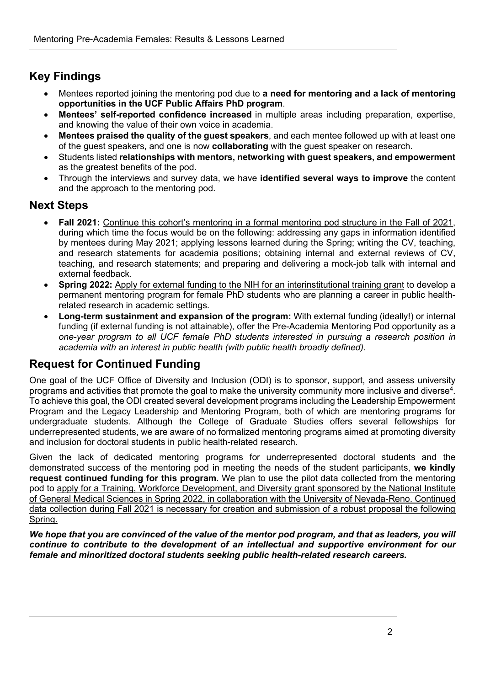## **Key Findings**

- Mentees reported joining the mentoring pod due to **a need for mentoring and a lack of mentoring opportunities in the UCF Public Affairs PhD program**.
- **Mentees' self-reported confidence increased** in multiple areas including preparation, expertise, and knowing the value of their own voice in academia.
- **Mentees praised the quality of the guest speakers**, and each mentee followed up with at least one of the guest speakers, and one is now **collaborating** with the guest speaker on research.
- Students listed **relationships with mentors, networking with guest speakers, and empowerment** as the greatest benefits of the pod.
- Through the interviews and survey data, we have **identified several ways to improve** the content and the approach to the mentoring pod.

### **Next Steps**

- **Fall 2021:** Continue this cohort's mentoring in a formal mentoring pod structure in the Fall of 2021, during which time the focus would be on the following: addressing any gaps in information identified by mentees during May 2021; applying lessons learned during the Spring; writing the CV, teaching, and research statements for academia positions; obtaining internal and external reviews of CV, teaching, and research statements; and preparing and delivering a mock-job talk with internal and external feedback.
- **Spring 2022:** Apply for external funding to the NIH for an interinstitutional training grant to develop a permanent mentoring program for female PhD students who are planning a career in public healthrelated research in academic settings.
- **Long-term sustainment and expansion of the program:** With external funding (ideally!) or internal funding (if external funding is not attainable), offer the Pre-Academia Mentoring Pod opportunity as a *one-year program to all UCF female PhD students interested in pursuing a research position in academia with an interest in public health (with public health broadly defined).*

## **Request for Continued Funding**

One goal of the UCF Office of Diversity and Inclusion (ODI) is to sponsor, support, and assess university programs and activities that promote the goal to make the university community more inclusive and diverse $^4$ . To achieve this goal, the ODI created several development programs including the Leadership Empowerment Program and the Legacy Leadership and Mentoring Program, both of which are mentoring programs for undergraduate students. Although the College of Graduate Studies offers several fellowships for underrepresented students, we are aware of no formalized mentoring programs aimed at promoting diversity and inclusion for doctoral students in public health-related research.

Given the lack of dedicated mentoring programs for underrepresented doctoral students and the demonstrated success of the mentoring pod in meeting the needs of the student participants, **we kindly request continued funding for this program**. We plan to use the pilot data collected from the mentoring pod to apply for a Training, Workforce Development, and Diversity grant sponsored by the National Institute of General Medical Sciences in Spring 2022, in collaboration with the University of Nevada-Reno. Continued data collection during Fall 2021 is necessary for creation and submission of a robust proposal the following Spring.

*We hope that you are convinced of the value of the mentor pod program, and that as leaders, you will continue to contribute to the development of an intellectual and supportive environment for our female and minoritized doctoral students seeking public health-related research careers.*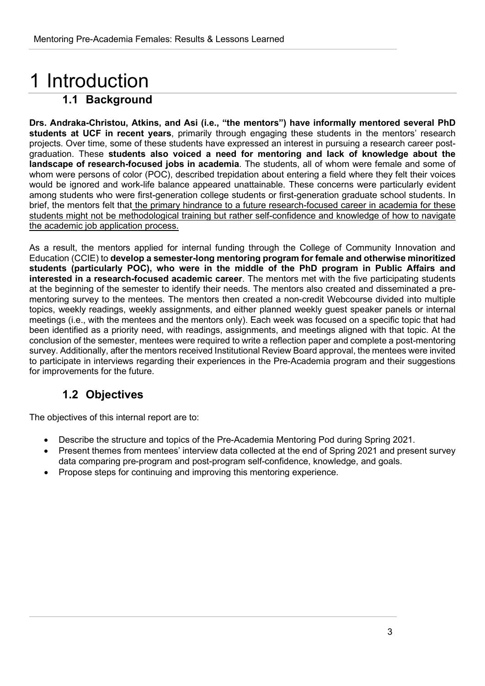# <span id="page-5-1"></span><span id="page-5-0"></span>1 Introduction

## **1.1 Background**

**Drs. Andraka-Christou, Atkins, and Asi (i.e., "the mentors") have informally mentored several PhD students at UCF in recent years**, primarily through engaging these students in the mentors' research projects. Over time, some of these students have expressed an interest in pursuing a research career postgraduation. These **students also voiced a need for mentoring and lack of knowledge about the landscape of research-focused jobs in academia**. The students, all of whom were female and some of whom were persons of color (POC), described trepidation about entering a field where they felt their voices would be ignored and work-life balance appeared unattainable. These concerns were particularly evident among students who were first-generation college students or first-generation graduate school students. In brief, the mentors felt that the primary hindrance to a future research-focused career in academia for these students might not be methodological training but rather self-confidence and knowledge of how to navigate the academic job application process.

As a result, the mentors applied for internal funding through the College of Community Innovation and Education (CCIE) to **develop a semester-long mentoring program for female and otherwise minoritized students (particularly POC), who were in the middle of the PhD program in Public Affairs and interested in a research-focused academic career**. The mentors met with the five participating students at the beginning of the semester to identify their needs. The mentors also created and disseminated a prementoring survey to the mentees. The mentors then created a non-credit Webcourse divided into multiple topics, weekly readings, weekly assignments, and either planned weekly guest speaker panels or internal meetings (i.e., with the mentees and the mentors only). Each week was focused on a specific topic that had been identified as a priority need, with readings, assignments, and meetings aligned with that topic. At the conclusion of the semester, mentees were required to write a reflection paper and complete a post-mentoring survey. Additionally, after the mentors received Institutional Review Board approval, the mentees were invited to participate in interviews regarding their experiences in the Pre-Academia program and their suggestions for improvements for the future.

## **1.2 Objectives**

<span id="page-5-2"></span>The objectives of this internal report are to:

- Describe the structure and topics of the Pre-Academia Mentoring Pod during Spring 2021.
- Present themes from mentees' interview data collected at the end of Spring 2021 and present survey data comparing pre-program and post-program self-confidence, knowledge, and goals.
- Propose steps for continuing and improving this mentoring experience.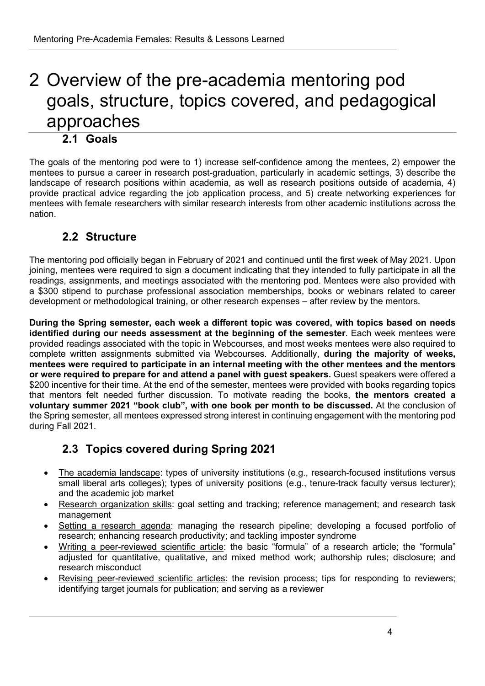# <span id="page-6-0"></span>2 Overview of the pre-academia mentoring pod goals, structure, topics covered, and pedagogical approaches

### **2.1 Goals**

<span id="page-6-1"></span>The goals of the mentoring pod were to 1) increase self-confidence among the mentees, 2) empower the mentees to pursue a career in research post-graduation, particularly in academic settings, 3) describe the landscape of research positions within academia, as well as research positions outside of academia, 4) provide practical advice regarding the job application process, and 5) create networking experiences for mentees with female researchers with similar research interests from other academic institutions across the nation.

### **2.2 Structure**

<span id="page-6-2"></span>The mentoring pod officially began in February of 2021 and continued until the first week of May 2021. Upon joining, mentees were required to sign a document indicating that they intended to fully participate in all the readings, assignments, and meetings associated with the mentoring pod. Mentees were also provided with a \$300 stipend to purchase professional association memberships, books or webinars related to career development or methodological training, or other research expenses – after review by the mentors.

**During the Spring semester, each week a different topic was covered, with topics based on needs identified during our needs assessment at the beginning of the semester**. Each week mentees were provided readings associated with the topic in Webcourses, and most weeks mentees were also required to complete written assignments submitted via Webcourses. Additionally, **during the majority of weeks, mentees were required to participate in an internal meeting with the other mentees and the mentors or were required to prepare for and attend a panel with guest speakers.** Guest speakers were offered a \$200 incentive for their time. At the end of the semester, mentees were provided with books regarding topics that mentors felt needed further discussion. To motivate reading the books, **the mentors created a voluntary summer 2021 "book club", with one book per month to be discussed.** At the conclusion of the Spring semester, all mentees expressed strong interest in continuing engagement with the mentoring pod during Fall 2021.

### **2.3 Topics covered during Spring 2021**

- <span id="page-6-3"></span>• The academia landscape: types of university institutions (e.g., research-focused institutions versus small liberal arts colleges); types of university positions (e.g., tenure-track faculty versus lecturer); and the academic job market
- Research organization skills: goal setting and tracking; reference management; and research task management
- Setting a research agenda: managing the research pipeline; developing a focused portfolio of research; enhancing research productivity; and tackling imposter syndrome
- Writing a peer-reviewed scientific article: the basic "formula" of a research article; the "formula" adjusted for quantitative, qualitative, and mixed method work; authorship rules; disclosure; and research misconduct
- Revising peer-reviewed scientific articles: the revision process; tips for responding to reviewers; identifying target journals for publication; and serving as a reviewer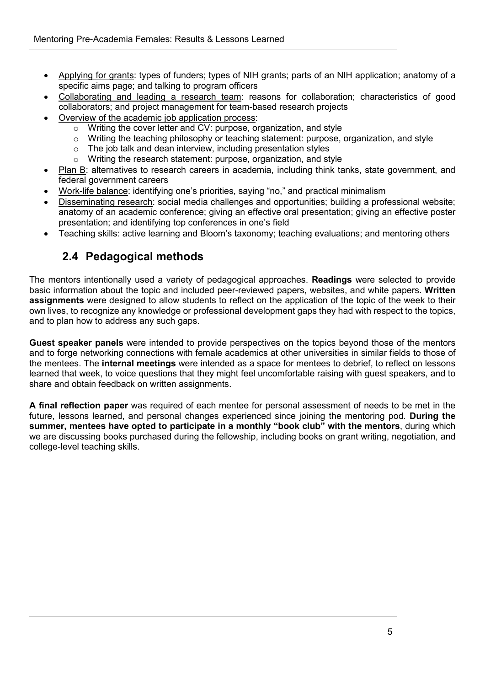- Applying for grants: types of funders; types of NIH grants; parts of an NIH application; anatomy of a specific aims page; and talking to program officers
- Collaborating and leading a research team: reasons for collaboration; characteristics of good collaborators; and project management for team-based research projects
- Overview of the academic job application process:
	- o Writing the cover letter and CV: purpose, organization, and style
	- $\circ$  Writing the teaching philosophy or teaching statement: purpose, organization, and style  $\circ$  The iob talk and dean interview, including presentation styles
	- o The job talk and dean interview, including presentation styles<br>o Writing the research statement: purpose, organization, and st
	- Writing the research statement: purpose, organization, and style
- Plan B: alternatives to research careers in academia, including think tanks, state government, and federal government careers
- Work-life balance: identifying one's priorities, saying "no," and practical minimalism
- Disseminating research: social media challenges and opportunities; building a professional website; anatomy of an academic conference; giving an effective oral presentation; giving an effective poster presentation; and identifying top conferences in one's field
- Teaching skills: active learning and Bloom's taxonomy; teaching evaluations; and mentoring others

### **2.4 Pedagogical methods**

<span id="page-7-0"></span>The mentors intentionally used a variety of pedagogical approaches. **Readings** were selected to provide basic information about the topic and included peer-reviewed papers, websites, and white papers. **Written assignments** were designed to allow students to reflect on the application of the topic of the week to their own lives, to recognize any knowledge or professional development gaps they had with respect to the topics, and to plan how to address any such gaps.

**Guest speaker panels** were intended to provide perspectives on the topics beyond those of the mentors and to forge networking connections with female academics at other universities in similar fields to those of the mentees. The **internal meetings** were intended as a space for mentees to debrief, to reflect on lessons learned that week, to voice questions that they might feel uncomfortable raising with guest speakers, and to share and obtain feedback on written assignments.

**A final reflection paper** was required of each mentee for personal assessment of needs to be met in the future, lessons learned, and personal changes experienced since joining the mentoring pod. **During the summer, mentees have opted to participate in a monthly "book club" with the mentors**, during which we are discussing books purchased during the fellowship, including books on grant writing, negotiation, and college-level teaching skills.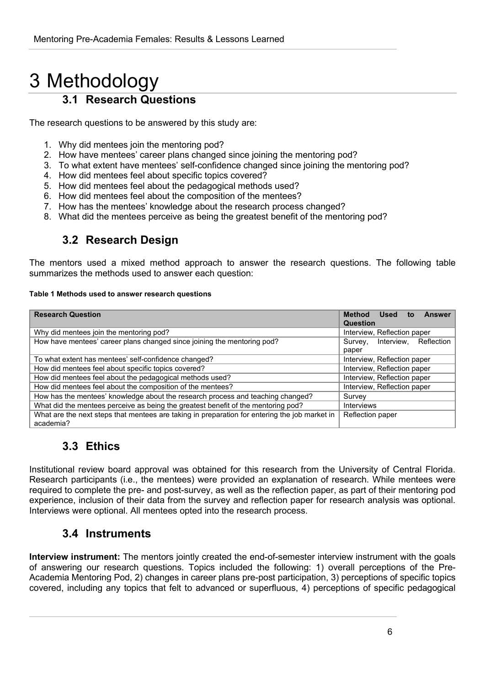# <span id="page-8-1"></span><span id="page-8-0"></span>3 Methodology **3.1 Research Questions**

The research questions to be answered by this study are:

- 1. Why did mentees join the mentoring pod?
- 2. How have mentees' career plans changed since joining the mentoring pod?
- 3. To what extent have mentees' self-confidence changed since joining the mentoring pod?
- 4. How did mentees feel about specific topics covered?
- 5. How did mentees feel about the pedagogical methods used?
- 6. How did mentees feel about the composition of the mentees?
- 7. How has the mentees' knowledge about the research process changed?
- 8. What did the mentees perceive as being the greatest benefit of the mentoring pod?

### **3.2 Research Design**

<span id="page-8-2"></span>The mentors used a mixed method approach to answer the research questions. The following table summarizes the methods used to answer each question:

#### **Table 1 Methods used to answer research questions**

| <b>Research Question</b>                                                                                   | <b>Method</b><br><b>Used</b><br>Answer<br>to<br>Question |
|------------------------------------------------------------------------------------------------------------|----------------------------------------------------------|
| Why did mentees join the mentoring pod?                                                                    | Interview, Reflection paper                              |
| How have mentees' career plans changed since joining the mentoring pod?                                    | Survey,<br>Interview.<br>Reflection<br>paper             |
| To what extent has mentees' self-confidence changed?                                                       | Interview, Reflection paper                              |
| How did mentees feel about specific topics covered?                                                        | Interview, Reflection paper                              |
| How did mentees feel about the pedagogical methods used?                                                   | Interview, Reflection paper                              |
| How did mentees feel about the composition of the mentees?                                                 | Interview, Reflection paper                              |
| How has the mentees' knowledge about the research process and teaching changed?                            | Survey                                                   |
| What did the mentees perceive as being the greatest benefit of the mentoring pod?                          | <b>Interviews</b>                                        |
| What are the next steps that mentees are taking in preparation for entering the job market in<br>academia? | Reflection paper                                         |

### **3.3 Ethics**

<span id="page-8-3"></span>Institutional review board approval was obtained for this research from the University of Central Florida. Research participants (i.e., the mentees) were provided an explanation of research. While mentees were required to complete the pre- and post-survey, as well as the reflection paper, as part of their mentoring pod experience, inclusion of their data from the survey and reflection paper for research analysis was optional. Interviews were optional. All mentees opted into the research process.

### **3.4 Instruments**

<span id="page-8-4"></span>**Interview instrument:** The mentors jointly created the end-of-semester interview instrument with the goals of answering our research questions. Topics included the following: 1) overall perceptions of the Pre-Academia Mentoring Pod, 2) changes in career plans pre-post participation, 3) perceptions of specific topics covered, including any topics that felt to advanced or superfluous, 4) perceptions of specific pedagogical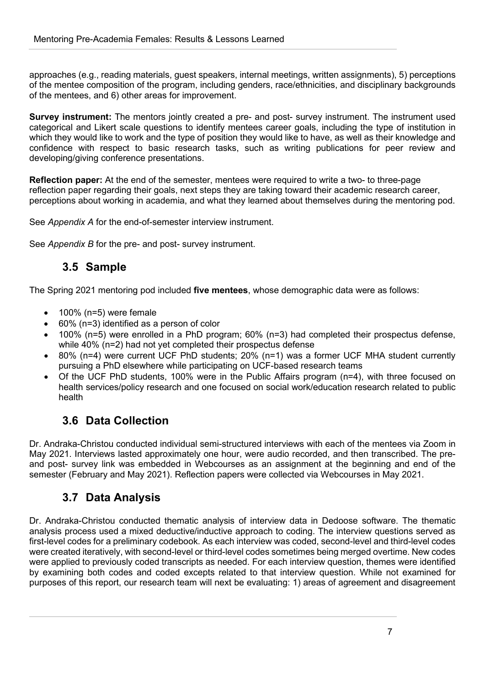approaches (e.g., reading materials, guest speakers, internal meetings, written assignments), 5) perceptions of the mentee composition of the program, including genders, race/ethnicities, and disciplinary backgrounds of the mentees, and 6) other areas for improvement.

**Survey instrument:** The mentors jointly created a pre- and post- survey instrument. The instrument used categorical and Likert scale questions to identify mentees career goals, including the type of institution in which they would like to work and the type of position they would like to have, as well as their knowledge and confidence with respect to basic research tasks, such as writing publications for peer review and developing/giving conference presentations.

**Reflection paper:** At the end of the semester, mentees were required to write a two- to three-page reflection paper regarding their goals, next steps they are taking toward their academic research career, perceptions about working in academia, and what they learned about themselves during the mentoring pod.

See *Appendix A* for the end-of-semester interview instrument.

<span id="page-9-0"></span>See *Appendix B* for the pre- and post- survey instrument.

### **3.5 Sample**

The Spring 2021 mentoring pod included **five mentees**, whose demographic data were as follows:

- 100% (n=5) were female
- 60% (n=3) identified as a person of color
- 100% (n=5) were enrolled in a PhD program; 60% (n=3) had completed their prospectus defense, while 40% (n=2) had not yet completed their prospectus defense
- 80% (n=4) were current UCF PhD students; 20% (n=1) was a former UCF MHA student currently pursuing a PhD elsewhere while participating on UCF-based research teams
- Of the UCF PhD students, 100% were in the Public Affairs program (n=4), with three focused on health services/policy research and one focused on social work/education research related to public health

## **3.6 Data Collection**

<span id="page-9-1"></span>Dr. Andraka-Christou conducted individual semi-structured interviews with each of the mentees via Zoom in May 2021. Interviews lasted approximately one hour, were audio recorded, and then transcribed. The preand post- survey link was embedded in Webcourses as an assignment at the beginning and end of the semester (February and May 2021). Reflection papers were collected via Webcourses in May 2021.

## **3.7 Data Analysis**

<span id="page-9-2"></span>Dr. Andraka-Christou conducted thematic analysis of interview data in Dedoose software. The thematic analysis process used a mixed deductive/inductive approach to coding. The interview questions served as first-level codes for a preliminary codebook. As each interview was coded, second-level and third-level codes were created iteratively, with second-level or third-level codes sometimes being merged overtime. New codes were applied to previously coded transcripts as needed. For each interview question, themes were identified by examining both codes and coded excepts related to that interview question. While not examined for purposes of this report, our research team will next be evaluating: 1) areas of agreement and disagreement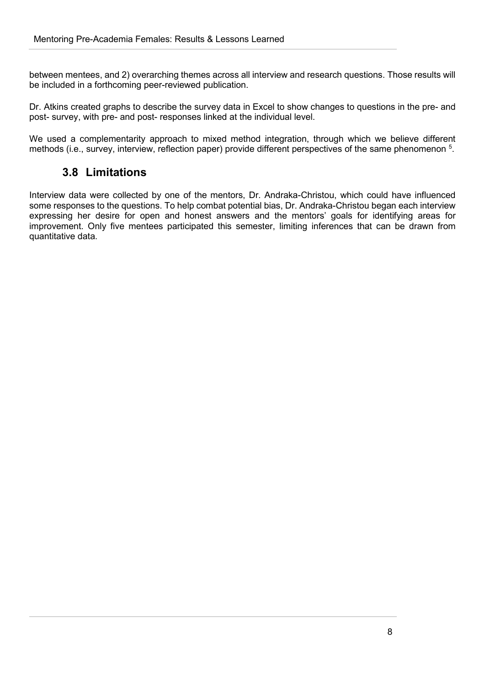between mentees, and 2) overarching themes across all interview and research questions. Those results will be included in a forthcoming peer-reviewed publication.

Dr. Atkins created graphs to describe the survey data in Excel to show changes to questions in the pre- and post- survey, with pre- and post- responses linked at the individual level.

We used a complementarity approach to mixed method integration, through which we believe different methods (i.e., survey, interview, reflection paper) provide different perspectives of the same phenomenon <sup>5</sup>.

### **3.8 Limitations**

<span id="page-10-0"></span>Interview data were collected by one of the mentors, Dr. Andraka-Christou, which could have influenced some responses to the questions. To help combat potential bias, Dr. Andraka-Christou began each interview expressing her desire for open and honest answers and the mentors' goals for identifying areas for improvement. Only five mentees participated this semester, limiting inferences that can be drawn from quantitative data.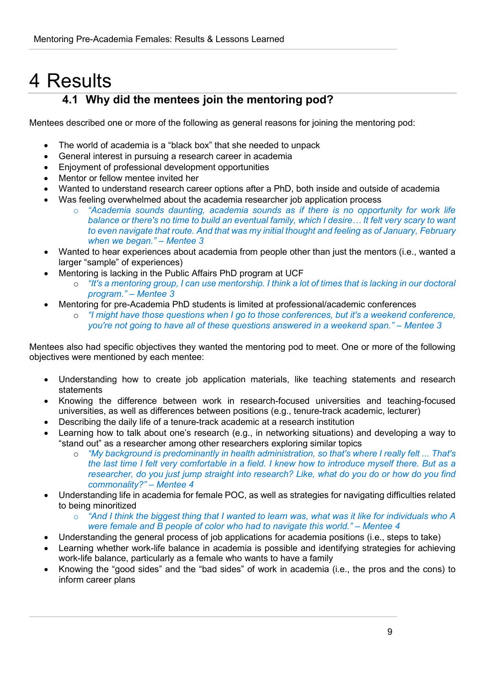# <span id="page-11-1"></span><span id="page-11-0"></span>4 Results **4.1 Why did the mentees join the mentoring pod?**

Mentees described one or more of the following as general reasons for joining the mentoring pod:

- The world of academia is a "black box" that she needed to unpack
- General interest in pursuing a research career in academia
- Enjoyment of professional development opportunities
- Mentor or fellow mentee invited her
- Wanted to understand research career options after a PhD, both inside and outside of academia
- Was feeling overwhelmed about the academia researcher job application process
	- o *"Academia sounds daunting, academia sounds as if there is no opportunity for work life balance or there's no time to build an eventual family, which I desire… It felt very scary to want to even navigate that route. And that was my initial thought and feeling as of January, February when we began." – Mentee 3*
- Wanted to hear experiences about academia from people other than just the mentors (i.e., wanted a larger "sample" of experiences)
- Mentoring is lacking in the Public Affairs PhD program at UCF
	- o *"It's a mentoring group, I can use mentorship. I think a lot of times that is lacking in our doctoral program." – Mentee 3*
- Mentoring for pre-Academia PhD students is limited at professional/academic conferences
	- o *"I might have those questions when I go to those conferences, but it's a weekend conference, you're not going to have all of these questions answered in a weekend span." – Mentee 3*

Mentees also had specific objectives they wanted the mentoring pod to meet. One or more of the following objectives were mentioned by each mentee:

- Understanding how to create job application materials, like teaching statements and research statements
- Knowing the difference between work in research-focused universities and teaching-focused universities, as well as differences between positions (e.g., tenure-track academic, lecturer)
- Describing the daily life of a tenure-track academic at a research institution
- Learning how to talk about one's research (e.g., in networking situations) and developing a way to "stand out" as a researcher among other researchers exploring similar topics
	- o *"My background is predominantly in health administration, so that's where I really felt ... That's the last time I felt very comfortable in a field. I knew how to introduce myself there. But as a researcher, do you just jump straight into research? Like, what do you do or how do you find commonality?" – Mentee 4*
- Understanding life in academia for female POC, as well as strategies for navigating difficulties related to being minoritized
	- o *"And I think the biggest thing that I wanted to learn was, what was it like for individuals who A were female and B people of color who had to navigate this world." – Mentee 4*
- Understanding the general process of job applications for academia positions (i.e., steps to take)
- Learning whether work-life balance in academia is possible and identifying strategies for achieving work-life balance, particularly as a female who wants to have a family
- Knowing the "good sides" and the "bad sides" of work in academia (i.e., the pros and the cons) to inform career plans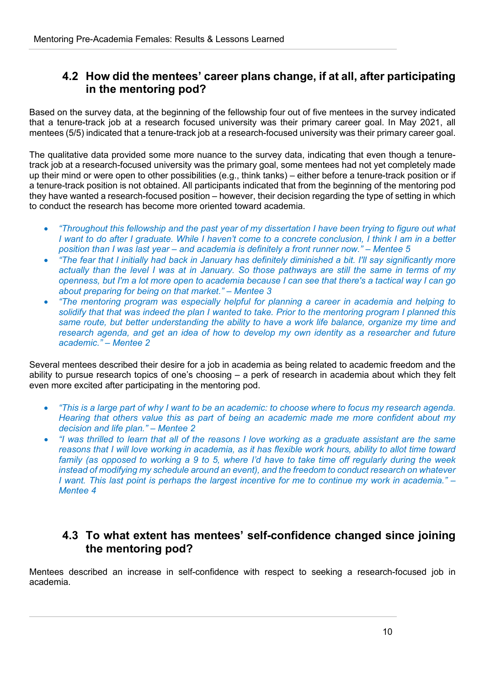### <span id="page-12-0"></span>**4.2 How did the mentees' career plans change, if at all, after participating in the mentoring pod?**

Based on the survey data, at the beginning of the fellowship four out of five mentees in the survey indicated that a tenure-track job at a research focused university was their primary career goal. In May 2021, all mentees (5/5) indicated that a tenure-track job at a research-focused university was their primary career goal.

The qualitative data provided some more nuance to the survey data, indicating that even though a tenuretrack job at a research-focused university was the primary goal, some mentees had not yet completely made up their mind or were open to other possibilities (e.g., think tanks) – either before a tenure-track position or if a tenure-track position is not obtained. All participants indicated that from the beginning of the mentoring pod they have wanted a research-focused position – however, their decision regarding the type of setting in which to conduct the research has become more oriented toward academia.

- *"Throughout this fellowship and the past year of my dissertation I have been trying to figure out what I want to do after I graduate. While I haven't come to a concrete conclusion, I think I am in a better position than I was last year – and academia is definitely a front runner now." – Mentee 5*
- *"The fear that I initially had back in January has definitely diminished a bit. I'll say significantly more actually than the level I was at in January. So those pathways are still the same in terms of my openness, but I'm a lot more open to academia because I can see that there's a tactical way I can go about preparing for being on that market." – Mentee 3*
- *"The mentoring program was especially helpful for planning a career in academia and helping to solidify that that was indeed the plan I wanted to take. Prior to the mentoring program I planned this same route, but better understanding the ability to have a work life balance, organize my time and research agenda, and get an idea of how to develop my own identity as a researcher and future academic." – Mentee 2*

Several mentees described their desire for a job in academia as being related to academic freedom and the ability to pursue research topics of one's choosing – a perk of research in academia about which they felt even more excited after participating in the mentoring pod.

- *"This is a large part of why I want to be an academic: to choose where to focus my research agenda. Hearing that others value this as part of being an academic made me more confident about my decision and life plan." – Mentee 2*
- *"I was thrilled to learn that all of the reasons I love working as a graduate assistant are the same reasons that I will love working in academia, as it has flexible work hours, ability to allot time toward family (as opposed to working a 9 to 5, where I'd have to take time off regularly during the week instead of modifying my schedule around an event), and the freedom to conduct research on whatever I want. This last point is perhaps the largest incentive for me to continue my work in academia." – Mentee 4*

### <span id="page-12-1"></span>**4.3 To what extent has mentees' self-confidence changed since joining the mentoring pod?**

Mentees described an increase in self-confidence with respect to seeking a research-focused job in academia.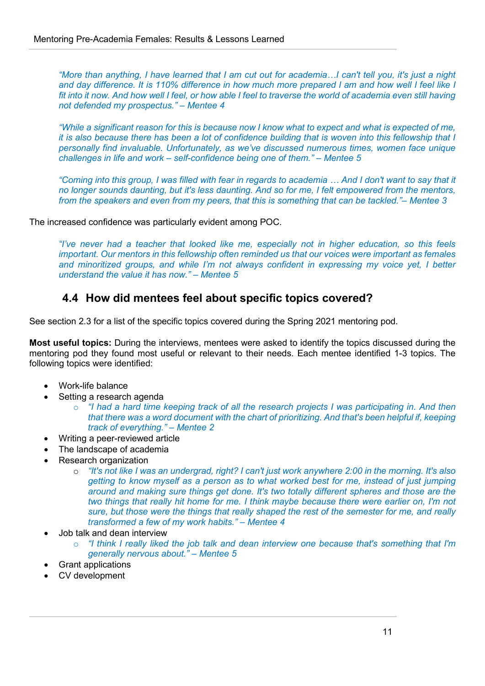*"More than anything, I have learned that I am cut out for academia…I can't tell you, it's just a night and day difference. It is 110% difference in how much more prepared I am and how well I feel like I fit into it now. And how well I feel, or how able I feel to traverse the world of academia even still having not defended my prospectus." – Mentee 4*

*"While a significant reason for this is because now I know what to expect and what is expected of me, it is also because there has been a lot of confidence building that is woven into this fellowship that I personally find invaluable. Unfortunately, as we've discussed numerous times, women face unique challenges in life and work – self-confidence being one of them." – Mentee 5*

*"Coming into this group, I was filled with fear in regards to academia … And I don't want to say that it no longer sounds daunting, but it's less daunting. And so for me, I felt empowered from the mentors, from the speakers and even from my peers, that this is something that can be tackled."– Mentee 3* 

The increased confidence was particularly evident among POC.

*"I've never had a teacher that looked like me, especially not in higher education, so this feels important. Our mentors in this fellowship often reminded us that our voices were important as females and minoritized groups, and while I'm not always confident in expressing my voice yet, I better understand the value it has now." – Mentee 5*

### **4.4 How did mentees feel about specific topics covered?**

<span id="page-13-0"></span>See section 2.3 for a list of the specific topics covered during the Spring 2021 mentoring pod.

**Most useful topics:** During the interviews, mentees were asked to identify the topics discussed during the mentoring pod they found most useful or relevant to their needs. Each mentee identified 1-3 topics. The following topics were identified:

- Work-life balance
- Setting a research agenda
	- *"I had a hard time keeping track of all the research projects I was participating in. And then that there was a word document with the chart of prioritizing. And that's been helpful if, keeping track of everything." – Mentee 2*
- Writing a peer-reviewed article
- The landscape of academia
- Research organization
	- o *"It's not like I was an undergrad, right? I can't just work anywhere 2:00 in the morning. It's also getting to know myself as a person as to what worked best for me, instead of just jumping around and making sure things get done. It's two totally different spheres and those are the two things that really hit home for me. I think maybe because there were earlier on, I'm not sure, but those were the things that really shaped the rest of the semester for me, and really transformed a few of my work habits." – Mentee 4*
- Job talk and dean interview
	- o *"I think I really liked the job talk and dean interview one because that's something that I'm generally nervous about." – Mentee 5*
- Grant applications
- CV development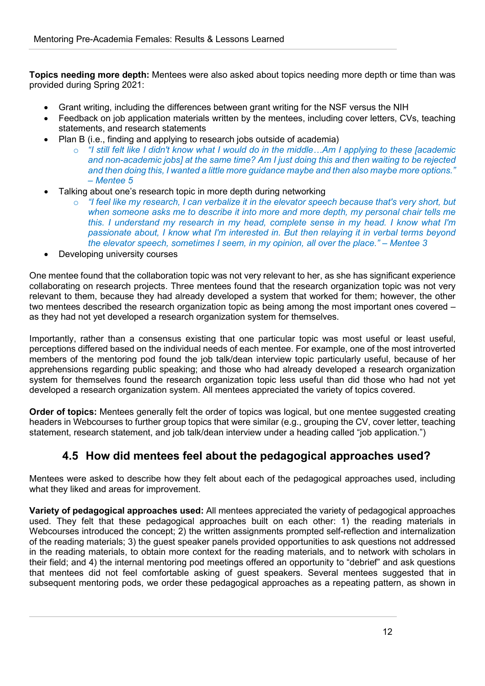**Topics needing more depth:** Mentees were also asked about topics needing more depth or time than was provided during Spring 2021:

- Grant writing, including the differences between grant writing for the NSF versus the NIH
- Feedback on job application materials written by the mentees, including cover letters, CVs, teaching statements, and research statements
- Plan B (i.e., finding and applying to research jobs outside of academia)
	- o *"I still felt like I didn't know what I would do in the middle…Am I applying to these [academic and non-academic jobs] at the same time? Am I just doing this and then waiting to be rejected and then doing this, I wanted a little more guidance maybe and then also maybe more options." – Mentee 5*
- Talking about one's research topic in more depth during networking
	- o *"I feel like my research, I can verbalize it in the elevator speech because that's very short, but when someone asks me to describe it into more and more depth, my personal chair tells me this. I understand my research in my head, complete sense in my head. I know what I'm passionate about, I know what I'm interested in. But then relaying it in verbal terms beyond the elevator speech, sometimes I seem, in my opinion, all over the place." – Mentee 3*
- Developing university courses

One mentee found that the collaboration topic was not very relevant to her, as she has significant experience collaborating on research projects. Three mentees found that the research organization topic was not very relevant to them, because they had already developed a system that worked for them; however, the other two mentees described the research organization topic as being among the most important ones covered – as they had not yet developed a research organization system for themselves.

Importantly, rather than a consensus existing that one particular topic was most useful or least useful, perceptions differed based on the individual needs of each mentee. For example, one of the most introverted members of the mentoring pod found the job talk/dean interview topic particularly useful, because of her apprehensions regarding public speaking; and those who had already developed a research organization system for themselves found the research organization topic less useful than did those who had not yet developed a research organization system. All mentees appreciated the variety of topics covered.

**Order of topics:** Mentees generally felt the order of topics was logical, but one mentee suggested creating headers in Webcourses to further group topics that were similar (e.g., grouping the CV, cover letter, teaching statement, research statement, and job talk/dean interview under a heading called "job application.")

### **4.5 How did mentees feel about the pedagogical approaches used?**

<span id="page-14-0"></span>Mentees were asked to describe how they felt about each of the pedagogical approaches used, including what they liked and areas for improvement.

**Variety of pedagogical approaches used:** All mentees appreciated the variety of pedagogical approaches used. They felt that these pedagogical approaches built on each other: 1) the reading materials in Webcourses introduced the concept; 2) the written assignments prompted self-reflection and internalization of the reading materials; 3) the guest speaker panels provided opportunities to ask questions not addressed in the reading materials, to obtain more context for the reading materials, and to network with scholars in their field; and 4) the internal mentoring pod meetings offered an opportunity to "debrief" and ask questions that mentees did not feel comfortable asking of guest speakers. Several mentees suggested that in subsequent mentoring pods, we order these pedagogical approaches as a repeating pattern, as shown in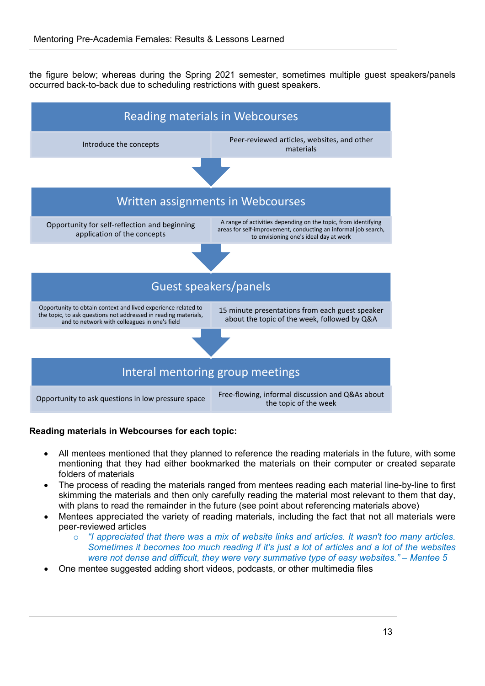the figure below; whereas during the Spring 2021 semester, sometimes multiple guest speakers/panels occurred back-to-back due to scheduling restrictions with guest speakers.



#### **Reading materials in Webcourses for each topic:**

- All mentees mentioned that they planned to reference the reading materials in the future, with some mentioning that they had either bookmarked the materials on their computer or created separate folders of materials
- The process of reading the materials ranged from mentees reading each material line-by-line to first skimming the materials and then only carefully reading the material most relevant to them that day, with plans to read the remainder in the future (see point about referencing materials above)
- Mentees appreciated the variety of reading materials, including the fact that not all materials were peer-reviewed articles
	- o *"I appreciated that there was a mix of website links and articles. It wasn't too many articles. Sometimes it becomes too much reading if it's just a lot of articles and a lot of the websites were not dense and difficult, they were very summative type of easy websites." – Mentee 5*
- One mentee suggested adding short videos, podcasts, or other multimedia files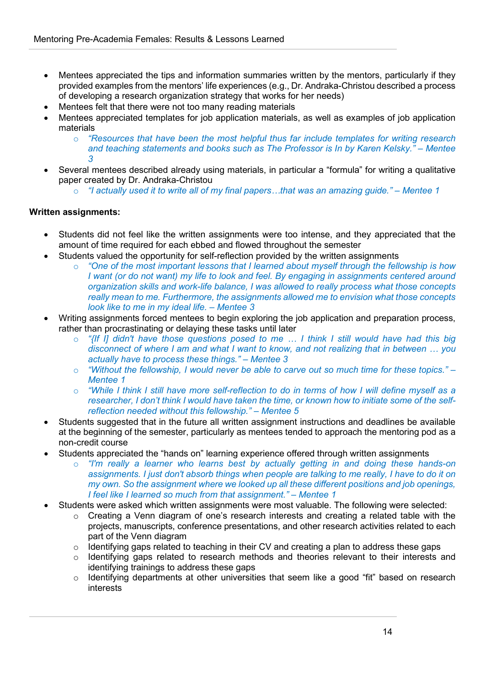- Mentees appreciated the tips and information summaries written by the mentors, particularly if they provided examples from the mentors' life experiences (e.g., Dr. Andraka-Christou described a process of developing a research organization strategy that works for her needs)
- Mentees felt that there were not too many reading materials
- Mentees appreciated templates for job application materials, as well as examples of job application materials
	- o *"Resources that have been the most helpful thus far include templates for writing research and teaching statements and books such as The Professor is In by Karen Kelsky." – Mentee 3*
- Several mentees described already using materials, in particular a "formula" for writing a qualitative paper created by Dr. Andraka-Christou
	- o *"I actually used it to write all of my final papers…that was an amazing guide." – Mentee 1*

### **Written assignments:**

- Students did not feel like the written assignments were too intense, and they appreciated that the amount of time required for each ebbed and flowed throughout the semester
- Students valued the opportunity for self-reflection provided by the written assignments
	- o *"One of the most important lessons that I learned about myself through the fellowship is how I want (or do not want) my life to look and feel. By engaging in assignments centered around organization skills and work-life balance, I was allowed to really process what those concepts really mean to me. Furthermore, the assignments allowed me to envision what those concepts look like to me in my ideal life. – Mentee 3*
- Writing assignments forced mentees to begin exploring the job application and preparation process, rather than procrastinating or delaying these tasks until later
	- o *"{If I] didn't have those questions posed to me … I think I still would have had this big disconnect of where I am and what I want to know, and not realizing that in between … you actually have to process these things." – Mentee 3*
	- o *"Without the fellowship, I would never be able to carve out so much time for these topics." – Mentee 1*
	- o *"While I think I still have more self-reflection to do in terms of how I will define myself as a researcher, I don't think I would have taken the time, or known how to initiate some of the selfreflection needed without this fellowship." – Mentee 5*
- Students suggested that in the future all written assignment instructions and deadlines be available at the beginning of the semester, particularly as mentees tended to approach the mentoring pod as a non-credit course
- Students appreciated the "hands on" learning experience offered through written assignments
	- "I'm really a learner who learns best by actually getting in and doing these hands-on *assignments. I just don't absorb things when people are talking to me really, I have to do it on my own. So the assignment where we looked up all these different positions and job openings, I feel like I learned so much from that assignment." – Mentee 1*
- Students were asked which written assignments were most valuable. The following were selected:
	- o Creating a Venn diagram of one's research interests and creating a related table with the projects, manuscripts, conference presentations, and other research activities related to each part of the Venn diagram
	- $\circ$  Identifying gaps related to teaching in their CV and creating a plan to address these gaps<br>  $\circ$  Identifying gaps related to research methods and theories relevant to their interests a
	- Identifying gaps related to research methods and theories relevant to their interests and identifying trainings to address these gaps
	- $\circ$  Identifying departments at other universities that seem like a good "fit" based on research interests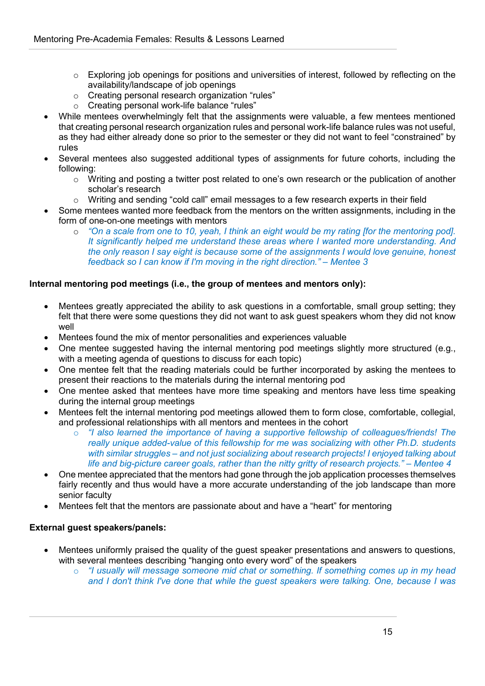- o Exploring job openings for positions and universities of interest, followed by reflecting on the availability/landscape of job openings
- o Creating personal research organization "rules"
- o Creating personal work-life balance "rules"
- While mentees overwhelmingly felt that the assignments were valuable, a few mentees mentioned that creating personal research organization rules and personal work-life balance rules was not useful, as they had either already done so prior to the semester or they did not want to feel "constrained" by rules
- Several mentees also suggested additional types of assignments for future cohorts, including the following:
	- o Writing and posting a twitter post related to one's own research or the publication of another scholar's research
	- o Writing and sending "cold call" email messages to a few research experts in their field
- Some mentees wanted more feedback from the mentors on the written assignments, including in the form of one-on-one meetings with mentors
	- o *"On a scale from one to 10, yeah, I think an eight would be my rating [for the mentoring pod]. It significantly helped me understand these areas where I wanted more understanding. And the only reason I say eight is because some of the assignments I would love genuine, honest feedback so I can know if I'm moving in the right direction." – Mentee 3*

### **Internal mentoring pod meetings (i.e., the group of mentees and mentors only):**

- Mentees greatly appreciated the ability to ask questions in a comfortable, small group setting; they felt that there were some questions they did not want to ask guest speakers whom they did not know well
- Mentees found the mix of mentor personalities and experiences valuable
- One mentee suggested having the internal mentoring pod meetings slightly more structured (e.g., with a meeting agenda of questions to discuss for each topic)
- One mentee felt that the reading materials could be further incorporated by asking the mentees to present their reactions to the materials during the internal mentoring pod
- One mentee asked that mentees have more time speaking and mentors have less time speaking during the internal group meetings
- Mentees felt the internal mentoring pod meetings allowed them to form close, comfortable, collegial, and professional relationships with all mentors and mentees in the cohort
	- o *"I also learned the importance of having a supportive fellowship of colleagues/friends! The really unique added-value of this fellowship for me was socializing with other Ph.D. students with similar struggles – and not just socializing about research projects! I enjoyed talking about life and big-picture career goals, rather than the nitty gritty of research projects." – Mentee 4*
- One mentee appreciated that the mentors had gone through the job application processes themselves fairly recently and thus would have a more accurate understanding of the job landscape than more senior faculty
- Mentees felt that the mentors are passionate about and have a "heart" for mentoring

### **External guest speakers/panels:**

- Mentees uniformly praised the quality of the guest speaker presentations and answers to questions, with several mentees describing "hanging onto every word" of the speakers
	- o *"I usually will message someone mid chat or something. If something comes up in my head and I don't think I've done that while the guest speakers were talking. One, because I was*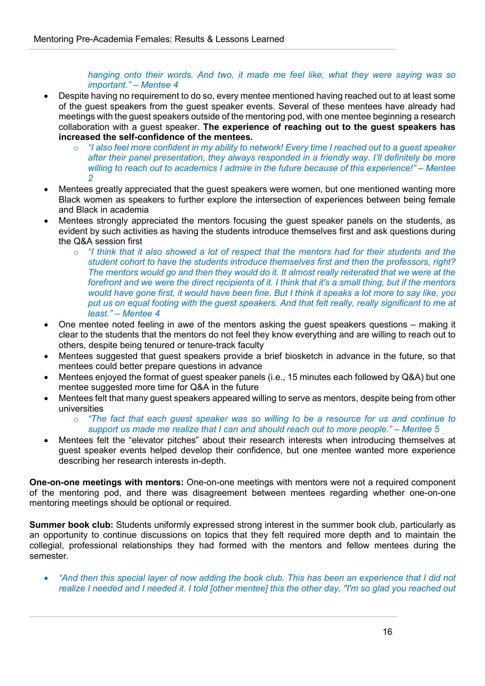*hanging onto their words. And two, it made me feel like, what they were saying was so important." – Mentee 4*

- Despite having no requirement to do so, every mentee mentioned having reached out to at least some of the guest speakers from the guest speaker events. Several of these mentees have already had meetings with the guest speakers outside of the mentoring pod, with one mentee beginning a research collaboration with a guest speaker. **The experience of reaching out to the guest speakers has increased the self-confidence of the mentees.**
	- o *"I also feel more confident in my ability to network! Every time I reached out to a guest speaker after their panel presentation, they always responded in a friendly way. I'll definitely be more willing to reach out to academics I admire in the future because of this experience!" – Mentee 2*
- Mentees greatly appreciated that the guest speakers were women, but one mentioned wanting more Black women as speakers to further explore the intersection of experiences between being female and Black in academia
- Mentees strongly appreciated the mentors focusing the guest speaker panels on the students, as evident by such activities as having the students introduce themselves first and ask questions during the Q&A session first
	- o *"I think that it also showed a lot of respect that the mentors had for their students and the student cohort to have the students introduce themselves first and then the professors, right? The mentors would go and then they would do it. It almost really reiterated that we were at the forefront and we were the direct recipients of it. I think that it's a small thing, but if the mentors would have gone first, it would have been fine. But I think it speaks a lot more to say like, you put us on equal footing with the guest speakers. And that felt really, really significant to me at least." – Mentee 4*
- One mentee noted feeling in awe of the mentors asking the guest speakers questions making it clear to the students that the mentors do not feel they know everything and are willing to reach out to others, despite being tenured or tenure-track faculty
- Mentees suggested that guest speakers provide a brief biosketch in advance in the future, so that mentees could better prepare questions in advance
- Mentees enjoyed the format of guest speaker panels (i.e., 15 minutes each followed by Q&A) but one mentee suggested more time for Q&A in the future
- Mentees felt that many guest speakers appeared willing to serve as mentors, despite being from other universities
	- o *"The fact that each guest speaker was so willing to be a resource for us and continue to support us made me realize that I can and should reach out to more people." – Mentee 5*
- Mentees felt the "elevator pitches" about their research interests when introducing themselves at guest speaker events helped develop their confidence, but one mentee wanted more experience describing her research interests in-depth.

**One-on-one meetings with mentors:** One-on-one meetings with mentors were not a required component of the mentoring pod, and there was disagreement between mentees regarding whether one-on-one mentoring meetings should be optional or required.

**Summer book club:** Students uniformly expressed strong interest in the summer book club, particularly as an opportunity to continue discussions on topics that they felt required more depth and to maintain the collegial, professional relationships they had formed with the mentors and fellow mentees during the semester.

• *"And then this special layer of now adding the book club. This has been an experience that I did not realize I needed and I needed it. I told [other mentee] this the other day, "I'm so glad you reached out*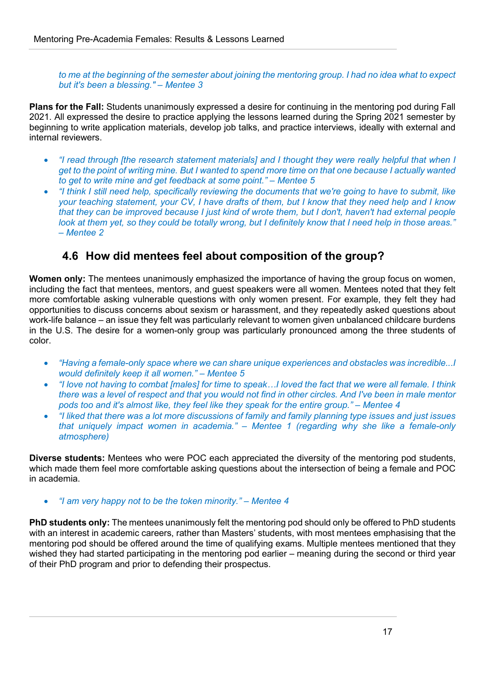*to me at the beginning of the semester about joining the mentoring group. I had no idea what to expect but it's been a blessing." – Mentee 3*

**Plans for the Fall:** Students unanimously expressed a desire for continuing in the mentoring pod during Fall 2021. All expressed the desire to practice applying the lessons learned during the Spring 2021 semester by beginning to write application materials, develop job talks, and practice interviews, ideally with external and internal reviewers.

- *"I read through [the research statement materials] and I thought they were really helpful that when I get to the point of writing mine. But I wanted to spend more time on that one because I actually wanted to get to write mine and get feedback at some point." – Mentee 5*
- *"I think I still need help, specifically reviewing the documents that we're going to have to submit, like your teaching statement, your CV, I have drafts of them, but I know that they need help and I know that they can be improved because I just kind of wrote them, but I don't, haven't had external people look at them yet, so they could be totally wrong, but I definitely know that I need help in those areas." – Mentee 2*

### **4.6 How did mentees feel about composition of the group?**

<span id="page-19-0"></span>**Women only:** The mentees unanimously emphasized the importance of having the group focus on women, including the fact that mentees, mentors, and guest speakers were all women. Mentees noted that they felt more comfortable asking vulnerable questions with only women present. For example, they felt they had opportunities to discuss concerns about sexism or harassment, and they repeatedly asked questions about work-life balance – an issue they felt was particularly relevant to women given unbalanced childcare burdens in the U.S. The desire for a women-only group was particularly pronounced among the three students of color.

- *"Having a female-only space where we can share unique experiences and obstacles was incredible...I would definitely keep it all women." – Mentee 5*
- *"I love not having to combat [males] for time to speak…I loved the fact that we were all female. I think there was a level of respect and that you would not find in other circles. And I've been in male mentor pods too and it's almost like, they feel like they speak for the entire group." – Mentee 4*
- *"I liked that there was a lot more discussions of family and family planning type issues and just issues that uniquely impact women in academia." – Mentee 1 (regarding why she like a female-only atmosphere)*

**Diverse students:** Mentees who were POC each appreciated the diversity of the mentoring pod students, which made them feel more comfortable asking questions about the intersection of being a female and POC in academia.

• *"I am very happy not to be the token minority." – Mentee 4*

**PhD students only:** The mentees unanimously felt the mentoring pod should only be offered to PhD students with an interest in academic careers, rather than Masters' students, with most mentees emphasising that the mentoring pod should be offered around the time of qualifying exams. Multiple mentees mentioned that they wished they had started participating in the mentoring pod earlier – meaning during the second or third year of their PhD program and prior to defending their prospectus.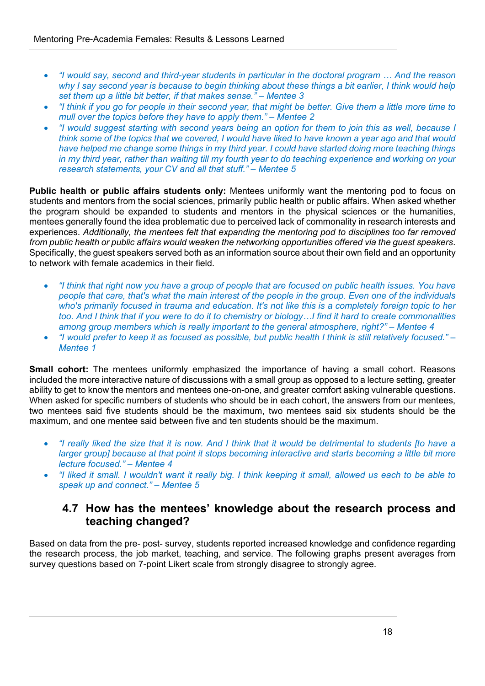- *"I would say, second and third-year students in particular in the doctoral program … And the reason why I say second year is because to begin thinking about these things a bit earlier, I think would help set them up a little bit better, if that makes sense." – Mentee 3*
- *"I think if you go for people in their second year, that might be better. Give them a little more time to mull over the topics before they have to apply them." – Mentee 2*
- *"I would suggest starting with second years being an option for them to join this as well, because I think some of the topics that we covered, I would have liked to have known a year ago and that would have helped me change some things in my third year. I could have started doing more teaching things in my third year, rather than waiting till my fourth year to do teaching experience and working on your research statements, your CV and all that stuff." – Mentee 5*

**Public health or public affairs students only:** Mentees uniformly want the mentoring pod to focus on students and mentors from the social sciences, primarily public health or public affairs. When asked whether the program should be expanded to students and mentors in the physical sciences or the humanities, mentees generally found the idea problematic due to perceived lack of commonality in research interests and experiences. *Additionally, the mentees felt that expanding the mentoring pod to disciplines too far removed from public health or public affairs would weaken the networking opportunities offered via the guest speakers*. Specifically, the guest speakers served both as an information source about their own field and an opportunity to network with female academics in their field.

- *"I think that right now you have a group of people that are focused on public health issues. You have people that care, that's what the main interest of the people in the group. Even one of the individuals who's primarily focused in trauma and education. It's not like this is a completely foreign topic to her too. And I think that if you were to do it to chemistry or biology…I find it hard to create commonalities among group members which is really important to the general atmosphere, right?" – Mentee 4*
- *"I would prefer to keep it as focused as possible, but public health I think is still relatively focused." – Mentee 1*

**Small cohort:** The mentees uniformly emphasized the importance of having a small cohort. Reasons included the more interactive nature of discussions with a small group as opposed to a lecture setting, greater ability to get to know the mentors and mentees one-on-one, and greater comfort asking vulnerable questions. When asked for specific numbers of students who should be in each cohort, the answers from our mentees, two mentees said five students should be the maximum, two mentees said six students should be the maximum, and one mentee said between five and ten students should be the maximum.

- *"I really liked the size that it is now. And I think that it would be detrimental to students [to have a larger group] because at that point it stops becoming interactive and starts becoming a little bit more lecture focused." – Mentee 4*
- *"I liked it small. I wouldn't want it really big. I think keeping it small, allowed us each to be able to speak up and connect." – Mentee 5*

### <span id="page-20-0"></span>**4.7 How has the mentees' knowledge about the research process and teaching changed?**

Based on data from the pre- post- survey, students reported increased knowledge and confidence regarding the research process, the job market, teaching, and service. The following graphs present averages from survey questions based on 7-point Likert scale from strongly disagree to strongly agree.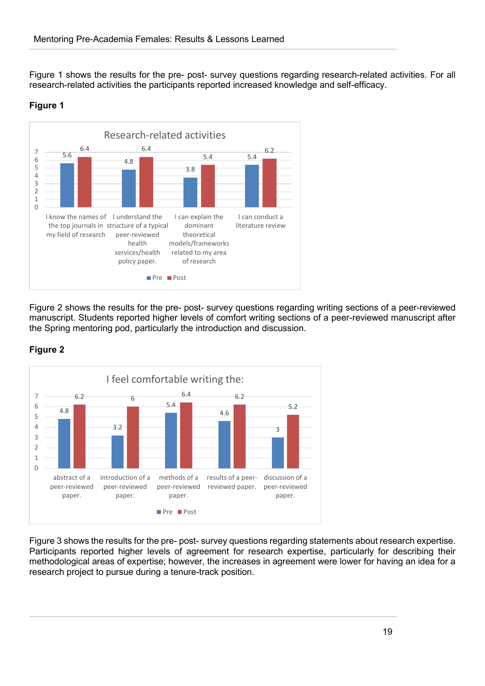Figure 1 shows the results for the pre- post- survey questions regarding research-related activities. For all research-related activities the participants reported increased knowledge and self-efficacy.

### **Figure 1**



Figure 2 shows the results for the pre- post- survey questions regarding writing sections of a peer-reviewed manuscript. Students reported higher levels of comfort writing sections of a peer-reviewed manuscript after the Spring mentoring pod, particularly the introduction and discussion.



### **Figure 2**

Figure 3 shows the results for the pre- post- survey questions regarding statements about research expertise. Participants reported higher levels of agreement for research expertise, particularly for describing their methodological areas of expertise; however, the increases in agreement were lower for having an idea for a research project to pursue during a tenure-track position.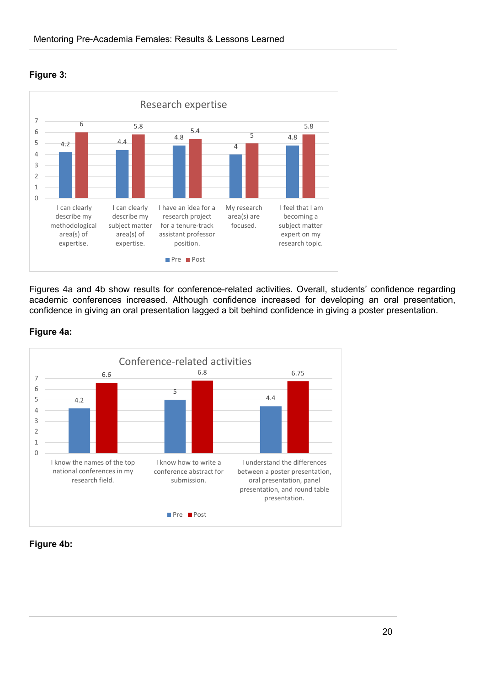



Figures 4a and 4b show results for conference-related activities. Overall, students' confidence regarding academic conferences increased. Although confidence increased for developing an oral presentation, confidence in giving an oral presentation lagged a bit behind confidence in giving a poster presentation.





### **Figure 4b:**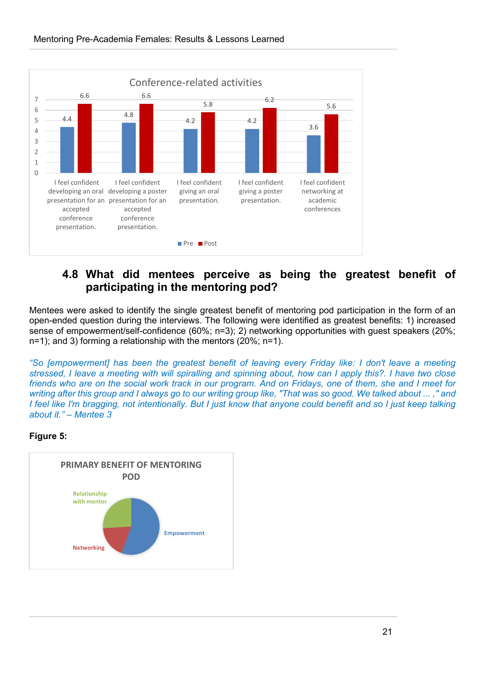

### <span id="page-23-0"></span>**4.8 What did mentees perceive as being the greatest benefit of participating in the mentoring pod?**

Mentees were asked to identify the single greatest benefit of mentoring pod participation in the form of an open-ended question during the interviews. The following were identified as greatest benefits: 1) increased sense of empowerment/self-confidence (60%; n=3); 2) networking opportunities with guest speakers (20%; n=1); and 3) forming a relationship with the mentors (20%; n=1).

*"So [empowerment] has been the greatest benefit of leaving every Friday like: I don't leave a meeting stressed, I leave a meeting with will spiralling and spinning about, how can I apply this?. I have two close friends who are on the social work track in our program. And on Fridays, one of them, she and I meet for writing after this group and I always go to our writing group like, "That was so good. We talked about ... ," and I feel like I'm bragging, not intentionally. But I just know that anyone could benefit and so I just keep talking about it." – Mentee 3*

### **Figure 5:**

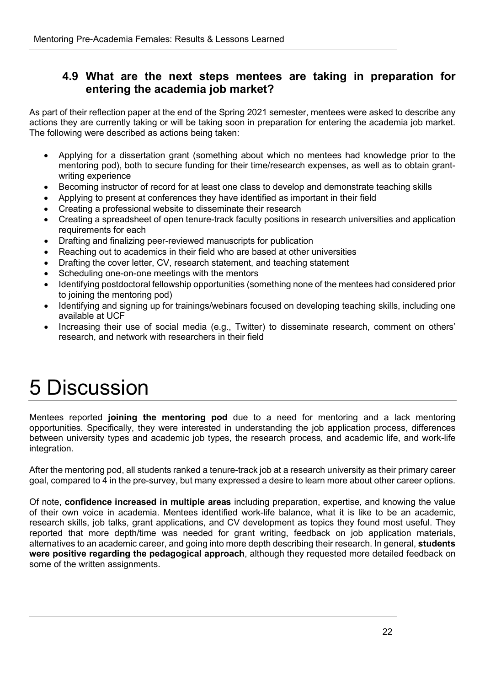### <span id="page-24-0"></span>**4.9 What are the next steps mentees are taking in preparation for entering the academia job market?**

As part of their reflection paper at the end of the Spring 2021 semester, mentees were asked to describe any actions they are currently taking or will be taking soon in preparation for entering the academia job market. The following were described as actions being taken:

- Applying for a dissertation grant (something about which no mentees had knowledge prior to the mentoring pod), both to secure funding for their time/research expenses, as well as to obtain grantwriting experience
- Becoming instructor of record for at least one class to develop and demonstrate teaching skills
- Applying to present at conferences they have identified as important in their field
- Creating a professional website to disseminate their research
- Creating a spreadsheet of open tenure-track faculty positions in research universities and application requirements for each
- Drafting and finalizing peer-reviewed manuscripts for publication
- Reaching out to academics in their field who are based at other universities
- Drafting the cover letter, CV, research statement, and teaching statement
- Scheduling one-on-one meetings with the mentors
- Identifying postdoctoral fellowship opportunities (something none of the mentees had considered prior to joining the mentoring pod)
- Identifying and signing up for trainings/webinars focused on developing teaching skills, including one available at UCF
- Increasing their use of social media (e.g., Twitter) to disseminate research, comment on others' research, and network with researchers in their field

# <span id="page-24-1"></span>5 Discussion

Mentees reported **joining the mentoring pod** due to a need for mentoring and a lack mentoring opportunities. Specifically, they were interested in understanding the job application process, differences between university types and academic job types, the research process, and academic life, and work-life integration.

After the mentoring pod, all students ranked a tenure-track job at a research university as their primary career goal, compared to 4 in the pre-survey, but many expressed a desire to learn more about other career options.

Of note, **confidence increased in multiple areas** including preparation, expertise, and knowing the value of their own voice in academia. Mentees identified work-life balance, what it is like to be an academic, research skills, job talks, grant applications, and CV development as topics they found most useful. They reported that more depth/time was needed for grant writing, feedback on job application materials, alternatives to an academic career, and going into more depth describing their research. In general, **students were positive regarding the pedagogical approach**, although they requested more detailed feedback on some of the written assignments.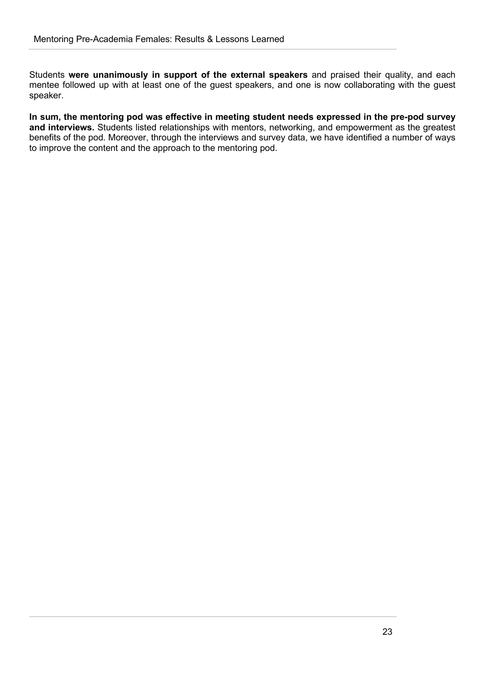Students **were unanimously in support of the external speakers** and praised their quality, and each mentee followed up with at least one of the guest speakers, and one is now collaborating with the guest speaker.

**In sum, the mentoring pod was effective in meeting student needs expressed in the pre-pod survey and interviews.** Students listed relationships with mentors, networking, and empowerment as the greatest benefits of the pod. Moreover, through the interviews and survey data, we have identified a number of ways to improve the content and the approach to the mentoring pod.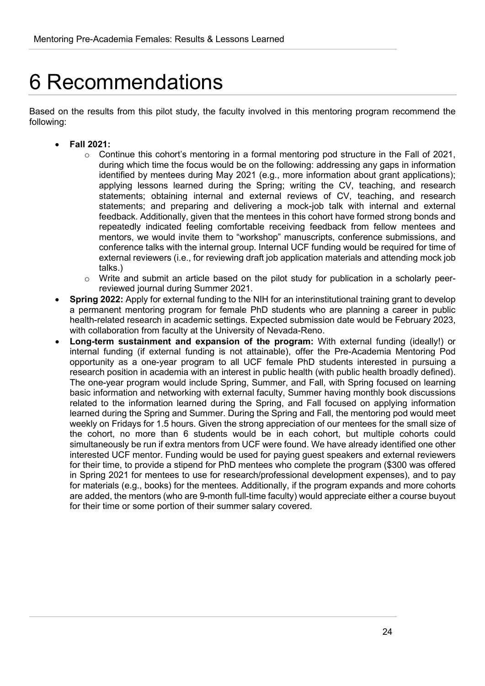# <span id="page-26-0"></span>6 Recommendations

Based on the results from this pilot study, the faculty involved in this mentoring program recommend the following:

- **Fall 2021:** 
	- o Continue this cohort's mentoring in a formal mentoring pod structure in the Fall of 2021, during which time the focus would be on the following: addressing any gaps in information identified by mentees during May 2021 (e.g., more information about grant applications); applying lessons learned during the Spring; writing the CV, teaching, and research statements; obtaining internal and external reviews of CV, teaching, and research statements; and preparing and delivering a mock-job talk with internal and external feedback. Additionally, given that the mentees in this cohort have formed strong bonds and repeatedly indicated feeling comfortable receiving feedback from fellow mentees and mentors, we would invite them to "workshop" manuscripts, conference submissions, and conference talks with the internal group. Internal UCF funding would be required for time of external reviewers (i.e., for reviewing draft job application materials and attending mock job talks.)
	- o Write and submit an article based on the pilot study for publication in a scholarly peerreviewed journal during Summer 2021.
- **Spring 2022:** Apply for external funding to the NIH for an interinstitutional training grant to develop a permanent mentoring program for female PhD students who are planning a career in public health-related research in academic settings. Expected submission date would be February 2023, with collaboration from faculty at the University of Nevada-Reno.
- **Long-term sustainment and expansion of the program:** With external funding (ideally!) or internal funding (if external funding is not attainable), offer the Pre-Academia Mentoring Pod opportunity as a one-year program to all UCF female PhD students interested in pursuing a research position in academia with an interest in public health (with public health broadly defined). The one-year program would include Spring, Summer, and Fall, with Spring focused on learning basic information and networking with external faculty, Summer having monthly book discussions related to the information learned during the Spring, and Fall focused on applying information learned during the Spring and Summer. During the Spring and Fall, the mentoring pod would meet weekly on Fridays for 1.5 hours. Given the strong appreciation of our mentees for the small size of the cohort, no more than 6 students would be in each cohort, but multiple cohorts could simultaneously be run if extra mentors from UCF were found. We have already identified one other interested UCF mentor. Funding would be used for paying guest speakers and external reviewers for their time, to provide a stipend for PhD mentees who complete the program (\$300 was offered in Spring 2021 for mentees to use for research/professional development expenses), and to pay for materials (e.g., books) for the mentees. Additionally, if the program expands and more cohorts are added, the mentors (who are 9-month full-time faculty) would appreciate either a course buyout for their time or some portion of their summer salary covered.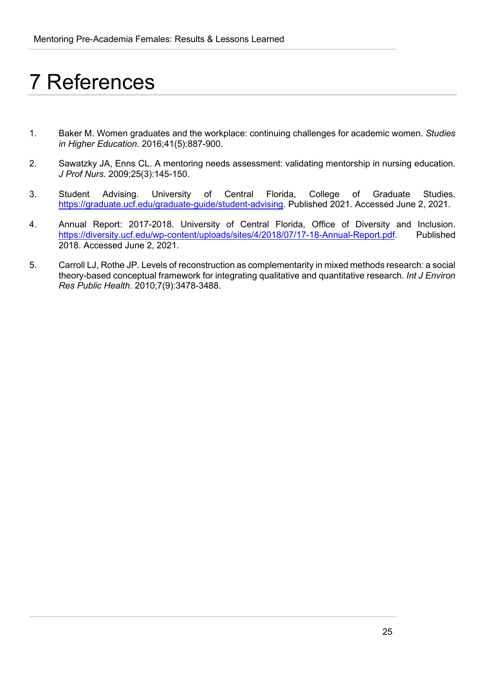# <span id="page-27-0"></span>7 References

- 1. Baker M. Women graduates and the workplace: continuing challenges for academic women. *Studies in Higher Education.* 2016;41(5):887-900.
- 2. Sawatzky JA, Enns CL. A mentoring needs assessment: validating mentorship in nursing education. *J Prof Nurs.* 2009;25(3):145-150.
- 3. Student Advising. University of Central Florida, College of Graduate Studies. [https://graduate.ucf.edu/graduate-guide/student-advising.](https://graduate.ucf.edu/graduate-guide/student-advising) Published 2021. Accessed June 2, 2021.
- 4. Annual Report: 2017-2018. University of Central Florida, Office of Diversity and Inclusion. [https://diversity.ucf.edu/wp-content/uploads/sites/4/2018/07/17-18-Annual-Report.pdf.](https://diversity.ucf.edu/wp-content/uploads/sites/4/2018/07/17-18-Annual-Report.pdf) Published 2018. Accessed June 2, 2021.
- 5. Carroll LJ, Rothe JP. Levels of reconstruction as complementarity in mixed methods research: a social theory-based conceptual framework for integrating qualitative and quantitative research. *Int J Environ Res Public Health.* 2010;7(9):3478-3488.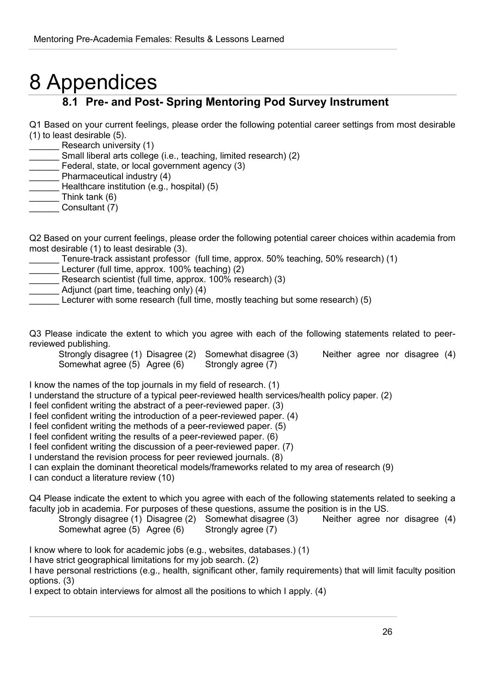# <span id="page-28-0"></span>8 Appendices

## **8.1 Pre- and Post- Spring Mentoring Pod Survey Instrument**

Q1 Based on your current feelings, please order the following potential career settings from most desirable (1) to least desirable (5).

- Research university (1)
- \_\_\_\_\_\_ Small liberal arts college (i.e., teaching, limited research) (2)
- Federal, state, or local government agency (3)
- \_\_\_\_\_\_ Pharmaceutical industry (4)
- \_\_\_\_\_\_ Healthcare institution (e.g., hospital) (5)
- \_\_\_\_\_\_ Think tank (6)
- Consultant (7)

Q2 Based on your current feelings, please order the following potential career choices within academia from most desirable (1) to least desirable (3).

Tenure-track assistant professor (full time, approx. 50% teaching, 50% research) (1)

- \_\_\_\_\_\_ Lecturer (full time, approx. 100% teaching) (2)
- \_\_\_\_\_\_ Research scientist (full time, approx. 100% research) (3)
- Adjunct (part time, teaching only)  $(4)$
- Lecturer with some research (full time, mostly teaching but some research) (5)

Q3 Please indicate the extent to which you agree with each of the following statements related to peerreviewed publishing.

Strongly disagree (1) Disagree (2) Somewhat disagree (3) Neither agree nor disagree (4) Somewhat agree (5) Agree (6) Strongly agree (7)

I know the names of the top journals in my field of research. (1)

I understand the structure of a typical peer-reviewed health services/health policy paper. (2)

I feel confident writing the abstract of a peer-reviewed paper. (3)

I feel confident writing the introduction of a peer-reviewed paper. (4)

I feel confident writing the methods of a peer-reviewed paper. (5)

I feel confident writing the results of a peer-reviewed paper. (6)

I feel confident writing the discussion of a peer-reviewed paper. (7)

I understand the revision process for peer reviewed journals. (8)

I can explain the dominant theoretical models/frameworks related to my area of research (9)

I can conduct a literature review (10)

Q4 Please indicate the extent to which you agree with each of the following statements related to seeking a faculty job in academia. For purposes of these questions, assume the position is in the US.

Strongly disagree (1) Disagree (2) Somewhat disagree (3) Neither agree nor disagree (4) Somewhat agree (5) Agree (6) Strongly agree (7)

I know where to look for academic jobs (e.g., websites, databases.) (1)

I have strict geographical limitations for my job search. (2)

I have personal restrictions (e.g., health, significant other, family requirements) that will limit faculty position options. (3)

I expect to obtain interviews for almost all the positions to which I apply. (4)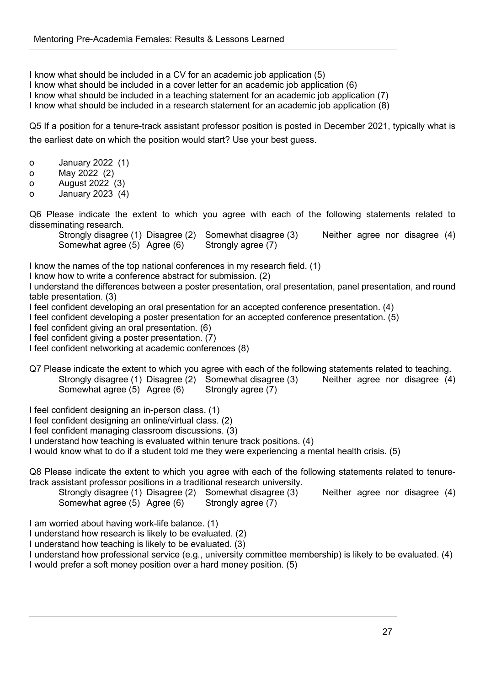I know what should be included in a CV for an academic job application (5)

I know what should be included in a cover letter for an academic job application (6)

I know what should be included in a teaching statement for an academic job application (7)

I know what should be included in a research statement for an academic job application (8)

Q5 If a position for a tenure-track assistant professor position is posted in December 2021, typically what is the earliest date on which the position would start? Use your best guess.

o January 2022 (1)

- o May 2022 (2)
- o August 2022 (3)
- o January 2023 (4)

Q6 Please indicate the extent to which you agree with each of the following statements related to disseminating research.

Strongly disagree (1) Disagree (2) Somewhat disagree (3) Neither agree nor disagree (4)<br>Somewhat agree (5) Agree (6) Strongly agree (7) Somewhat agree  $(5)$  Agree  $(6)$ 

I know the names of the top national conferences in my research field. (1)

I know how to write a conference abstract for submission. (2)

I understand the differences between a poster presentation, oral presentation, panel presentation, and round table presentation. (3)

I feel confident developing an oral presentation for an accepted conference presentation. (4)

I feel confident developing a poster presentation for an accepted conference presentation. (5)

I feel confident giving an oral presentation. (6)

I feel confident giving a poster presentation. (7)

I feel confident networking at academic conferences (8)

Q7 Please indicate the extent to which you agree with each of the following statements related to teaching. Strongly disagree (1) Disagree (2) Somewhat disagree (3) Neither agree nor disagree  $(4)$ Somewhat agree (5) Agree (6) Strongly agree (7)

I feel confident designing an in-person class. (1)

I feel confident designing an online/virtual class. (2)

I feel confident managing classroom discussions. (3)

I understand how teaching is evaluated within tenure track positions. (4)

I would know what to do if a student told me they were experiencing a mental health crisis. (5)

Q8 Please indicate the extent to which you agree with each of the following statements related to tenuretrack assistant professor positions in a traditional research university.

| Strongly disagree (1) Disagree (2) Somewhat disagree (3) |                    |  | Neither agree nor disagree (4) |  |
|----------------------------------------------------------|--------------------|--|--------------------------------|--|
| Somewhat agree (5) Agree (6)                             | Strongly agree (7) |  |                                |  |

I am worried about having work-life balance. (1)

I understand how research is likely to be evaluated. (2)

I understand how teaching is likely to be evaluated. (3)

I understand how professional service (e.g., university committee membership) is likely to be evaluated. (4) I would prefer a soft money position over a hard money position. (5)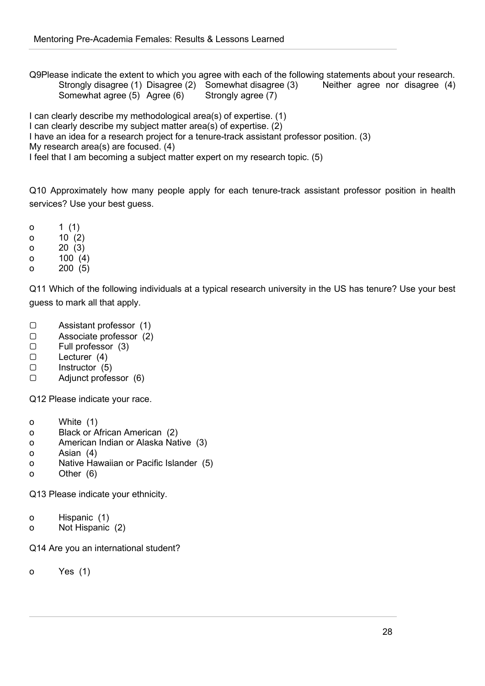Q9Please indicate the extent to which you agree with each of the following statements about your research.<br>Strongly disagree (1) Disagree (2) Somewhat disagree (3) Neither agree nor disagree (4) Strongly disagree (1) Disagree (2) Somewhat disagree (3) Somewhat agree  $(5)$  Agree  $(6)$  Strongly agree  $(7)$ 

I can clearly describe my methodological area(s) of expertise. (1) I can clearly describe my subject matter area(s) of expertise. (2) I have an idea for a research project for a tenure-track assistant professor position. (3) My research area(s) are focused. (4) I feel that I am becoming a subject matter expert on my research topic. (5)

Q10 Approximately how many people apply for each tenure-track assistant professor position in health services? Use your best guess.

- o 1 (1)
- o 10 (2)
- o 20 (3)
- o 100 (4) o 200 (5)

Q11 Which of the following individuals at a typical research university in the US has tenure? Use your best guess to mark all that apply.

- ▢ Assistant professor (1)
- ▢ Associate professor (2)
- $\Box$  Full professor (3)<br> $\Box$  Lecturer (4)
- ▢ Lecturer (4)
- ▢ Instructor (5)
- Adjunct professor (6)

Q12 Please indicate your race.

- o White (1)
- o Black or African American (2)
- o American Indian or Alaska Native (3)
- o Asian (4)
- o Native Hawaiian or Pacific Islander (5)
- o Other (6)

Q13 Please indicate your ethnicity.

- o Hispanic (1)
- o Not Hispanic (2)

Q14 Are you an international student?

o Yes (1)